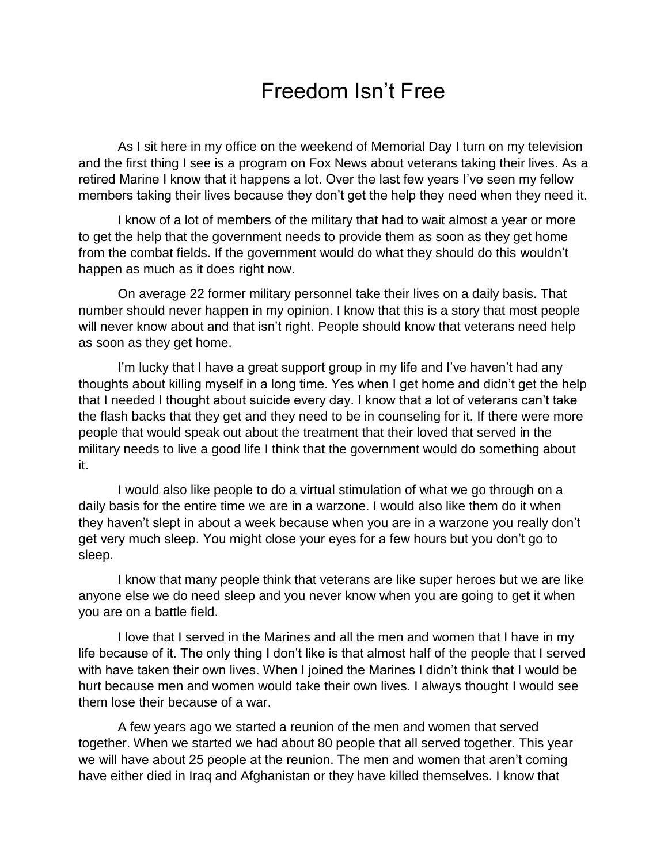## Freedom Isn't Free

As I sit here in my office on the weekend of Memorial Day I turn on my television and the first thing I see is a program on Fox News about veterans taking their lives. As a retired Marine I know that it happens a lot. Over the last few years I've seen my fellow members taking their lives because they don't get the help they need when they need it.

I know of a lot of members of the military that had to wait almost a year or more to get the help that the government needs to provide them as soon as they get home from the combat fields. If the government would do what they should do this wouldn't happen as much as it does right now.

On average 22 former military personnel take their lives on a daily basis. That number should never happen in my opinion. I know that this is a story that most people will never know about and that isn't right. People should know that veterans need help as soon as they get home.

I'm lucky that I have a great support group in my life and I've haven't had any thoughts about killing myself in a long time. Yes when I get home and didn't get the help that I needed I thought about suicide every day. I know that a lot of veterans can't take the flash backs that they get and they need to be in counseling for it. If there were more people that would speak out about the treatment that their loved that served in the military needs to live a good life I think that the government would do something about it.

I would also like people to do a virtual stimulation of what we go through on a daily basis for the entire time we are in a warzone. I would also like them do it when they haven't slept in about a week because when you are in a warzone you really don't get very much sleep. You might close your eyes for a few hours but you don't go to sleep.

I know that many people think that veterans are like super heroes but we are like anyone else we do need sleep and you never know when you are going to get it when you are on a battle field.

I love that I served in the Marines and all the men and women that I have in my life because of it. The only thing I don't like is that almost half of the people that I served with have taken their own lives. When I joined the Marines I didn't think that I would be hurt because men and women would take their own lives. I always thought I would see them lose their because of a war.

A few years ago we started a reunion of the men and women that served together. When we started we had about 80 people that all served together. This year we will have about 25 people at the reunion. The men and women that aren't coming have either died in Iraq and Afghanistan or they have killed themselves. I know that